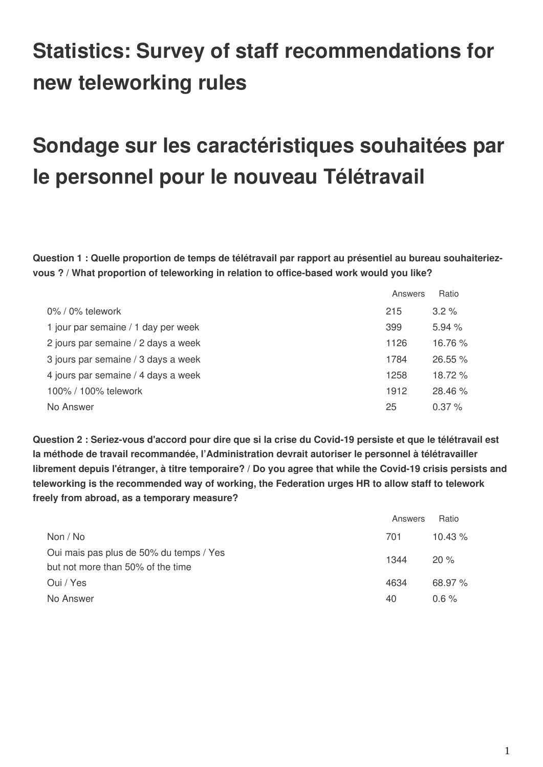## **Statistics: Survey of staff recommendations for new teleworking rules**

## **Sondage sur les caractéristiques souhaitées par le personnel pour le nouveau Télétravail**

**Question 1 : Quelle proportion de temps de télétravail par rapport au présentiel au bureau souhaiteriezvous ? / What proportion of teleworking in relation to office-based work would you like?** 

|                                     | Answers | Ratio    |
|-------------------------------------|---------|----------|
| $0\%$ / $0\%$ telework              | 215     | $3.2\%$  |
| 1 jour par semaine / 1 day per week | 399     | 5.94%    |
| 2 jours par semaine / 2 days a week | 1126    | 16.76 %  |
| 3 jours par semaine / 3 days a week | 1784    | 26.55 %  |
| 4 jours par semaine / 4 days a week | 1258    | 18.72 %  |
| 100% / 100% telework                | 1912    | 28.46 %  |
| No Answer                           | 25      | $0.37\%$ |

**Question 2 : Seriez-vous d'accord pour dire que si la crise du Covid-19 persiste et que le télétravail est la méthode de travail recommandée, l'Administration devrait autoriser le personnel à télétravailler librement depuis l'étranger, à titre temporaire? / Do you agree that while the Covid-19 crisis persists and teleworking is the recommended way of working, the Federation urges HR to allow staff to telework freely from abroad, as a temporary measure?**

|                                                                              | Answers | Ratio     |
|------------------------------------------------------------------------------|---------|-----------|
| Non / No                                                                     | 701     | $10.43\%$ |
| Oui mais pas plus de 50% du temps / Yes<br>but not more than 50% of the time | 1344    | 20%       |
| Oui / Yes                                                                    | 4634    | 68.97%    |
| No Answer                                                                    | 40      | $0.6 \%$  |